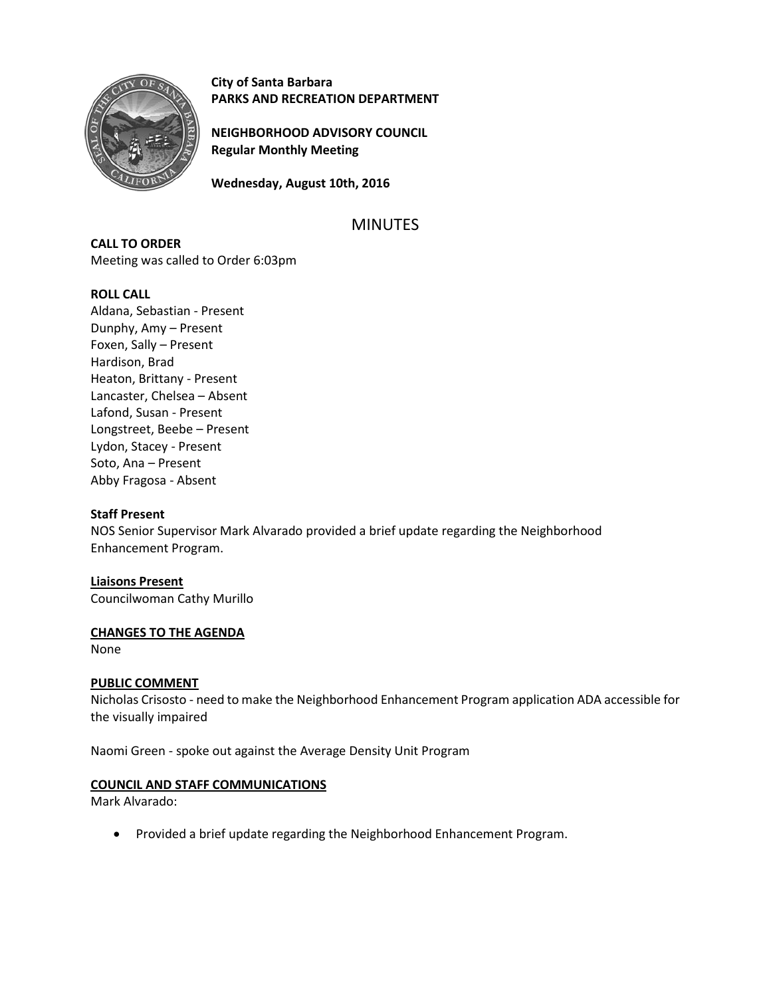

**City of Santa Barbara PARKS AND RECREATION DEPARTMENT**

**NEIGHBORHOOD ADVISORY COUNCIL Regular Monthly Meeting**

**Wednesday, August 10th, 2016**

# MINUTES

**CALL TO ORDER** Meeting was called to Order 6:03pm

# **ROLL CALL**

Aldana, Sebastian - Present Dunphy, Amy – Present Foxen, Sally – Present Hardison, Brad Heaton, Brittany - Present Lancaster, Chelsea – Absent Lafond, Susan - Present Longstreet, Beebe – Present Lydon, Stacey - Present Soto, Ana – Present Abby Fragosa - Absent

# **Staff Present**

NOS Senior Supervisor Mark Alvarado provided a brief update regarding the Neighborhood Enhancement Program.

# **Liaisons Present**

Councilwoman Cathy Murillo

# **CHANGES TO THE AGENDA**

None

# **PUBLIC COMMENT**

Nicholas Crisosto - need to make the Neighborhood Enhancement Program application ADA accessible for the visually impaired

Naomi Green - spoke out against the Average Density Unit Program

# **COUNCIL AND STAFF COMMUNICATIONS**

Mark Alvarado:

Provided a brief update regarding the Neighborhood Enhancement Program.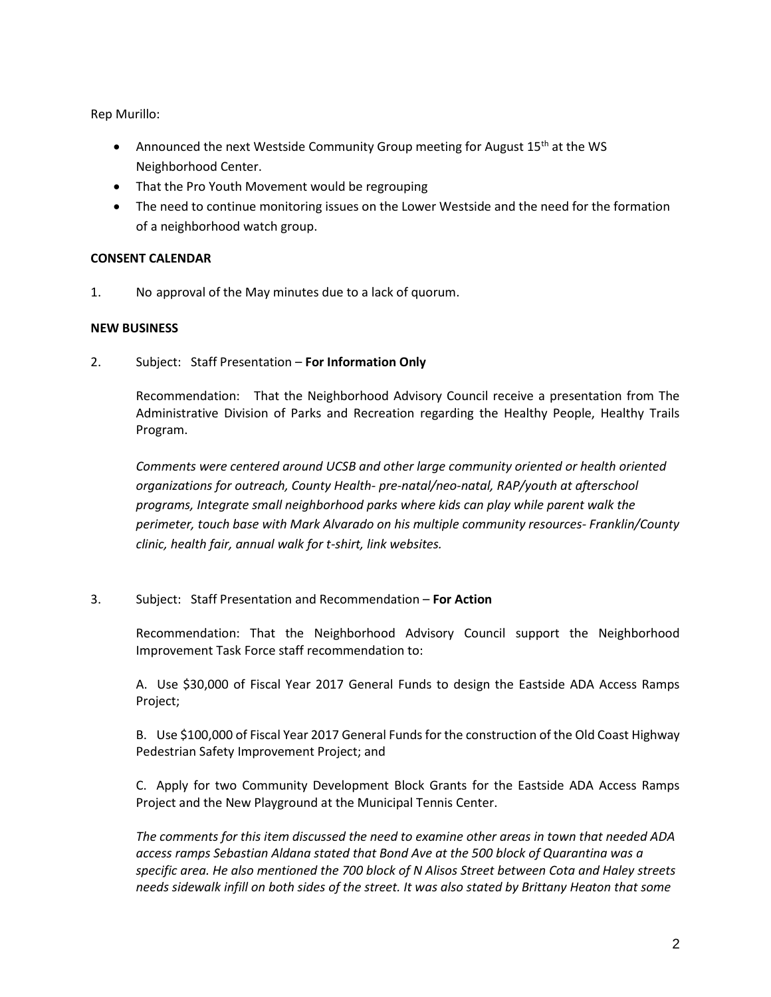Rep Murillo:

- Announced the next Westside Community Group meeting for August 15<sup>th</sup> at the WS Neighborhood Center.
- That the Pro Youth Movement would be regrouping
- The need to continue monitoring issues on the Lower Westside and the need for the formation of a neighborhood watch group.

# **CONSENT CALENDAR**

1. No approval of the May minutes due to a lack of quorum.

# **NEW BUSINESS**

2. Subject: Staff Presentation – **For Information Only**

Recommendation: That the Neighborhood Advisory Council receive a presentation from The Administrative Division of Parks and Recreation regarding the Healthy People, Healthy Trails Program.

*Comments were centered around UCSB and other large community oriented or health oriented organizations for outreach, County Health- pre-natal/neo-natal, RAP/youth at afterschool programs, Integrate small neighborhood parks where kids can play while parent walk the perimeter, touch base with Mark Alvarado on his multiple community resources- Franklin/County clinic, health fair, annual walk for t-shirt, link websites.*

# 3. Subject: Staff Presentation and Recommendation – **For Action**

Recommendation: That the Neighborhood Advisory Council support the Neighborhood Improvement Task Force staff recommendation to:

A. Use \$30,000 of Fiscal Year 2017 General Funds to design the Eastside ADA Access Ramps Project;

B. Use \$100,000 of Fiscal Year 2017 General Funds for the construction of the Old Coast Highway Pedestrian Safety Improvement Project; and

C. Apply for two Community Development Block Grants for the Eastside ADA Access Ramps Project and the New Playground at the Municipal Tennis Center.

*The comments for this item discussed the need to examine other areas in town that needed ADA access ramps Sebastian Aldana stated that Bond Ave at the 500 block of Quarantina was a specific area. He also mentioned the 700 block of N Alisos Street between Cota and Haley streets needs sidewalk infill on both sides of the street. It was also stated by Brittany Heaton that some*